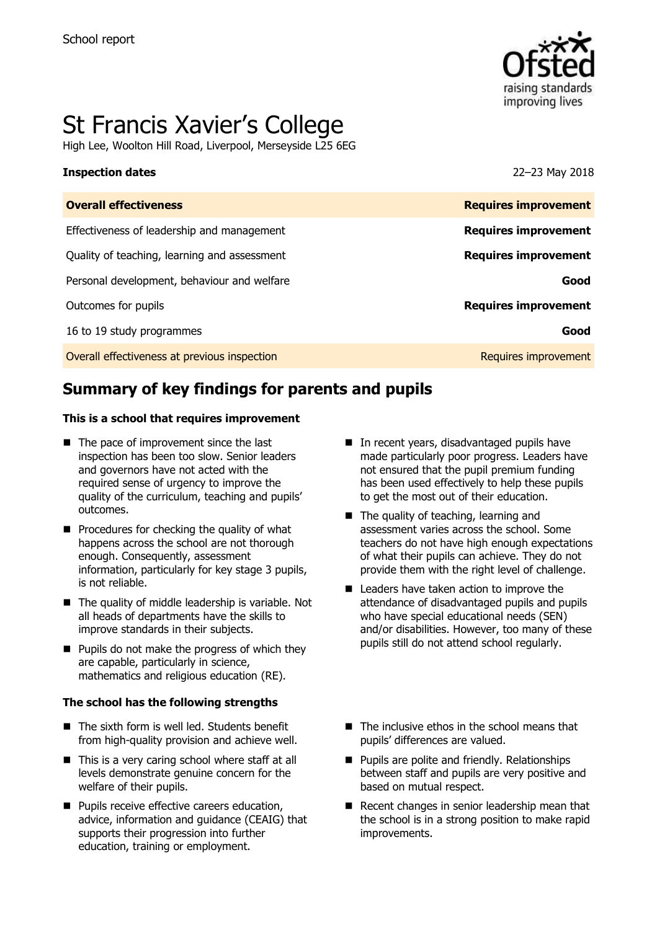

# St Francis Xavier's College

High Lee, Woolton Hill Road, Liverpool, Merseyside L25 6EG

### **Inspection dates** 22–23 May 2018

| <b>Overall effectiveness</b>                 | <b>Requires improvement</b> |
|----------------------------------------------|-----------------------------|
| Effectiveness of leadership and management   | <b>Requires improvement</b> |
| Quality of teaching, learning and assessment | <b>Requires improvement</b> |
| Personal development, behaviour and welfare  | Good                        |
| Outcomes for pupils                          | <b>Requires improvement</b> |
| 16 to 19 study programmes                    | Good                        |
| Overall effectiveness at previous inspection | Requires improvement        |

# **Summary of key findings for parents and pupils**

### **This is a school that requires improvement**

- The pace of improvement since the last inspection has been too slow. Senior leaders and governors have not acted with the required sense of urgency to improve the quality of the curriculum, teaching and pupils' outcomes.
- $\blacksquare$  Procedures for checking the quality of what happens across the school are not thorough enough. Consequently, assessment information, particularly for key stage 3 pupils, is not reliable.
- The quality of middle leadership is variable. Not all heads of departments have the skills to improve standards in their subjects.
- $\blacksquare$  Pupils do not make the progress of which they are capable, particularly in science, mathematics and religious education (RE).

### **The school has the following strengths**

- The sixth form is well led. Students benefit from high-quality provision and achieve well.
- This is a very caring school where staff at all levels demonstrate genuine concern for the welfare of their pupils.
- **Pupils receive effective careers education,** advice, information and guidance (CEAIG) that supports their progression into further education, training or employment.
- In recent years, disadvantaged pupils have made particularly poor progress. Leaders have not ensured that the pupil premium funding has been used effectively to help these pupils to get the most out of their education.
- The quality of teaching, learning and assessment varies across the school. Some teachers do not have high enough expectations of what their pupils can achieve. They do not provide them with the right level of challenge.
- Leaders have taken action to improve the attendance of disadvantaged pupils and pupils who have special educational needs (SEN) and/or disabilities. However, too many of these pupils still do not attend school regularly.
- $\blacksquare$  The inclusive ethos in the school means that pupils' differences are valued.
- **Pupils are polite and friendly. Relationships** between staff and pupils are very positive and based on mutual respect.
- Recent changes in senior leadership mean that the school is in a strong position to make rapid improvements.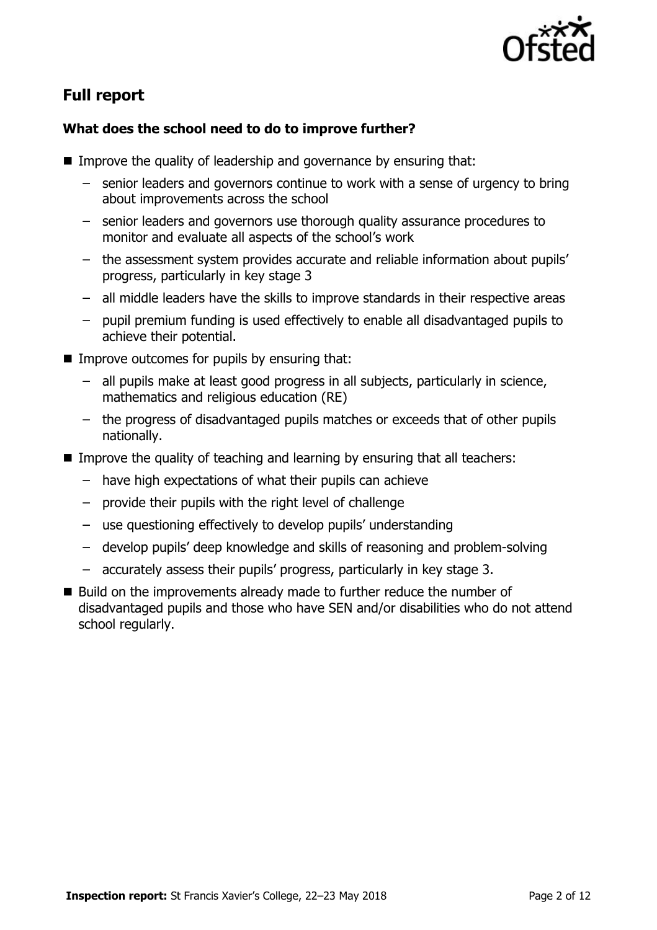

# **Full report**

### **What does the school need to do to improve further?**

- Improve the quality of leadership and governance by ensuring that:
	- senior leaders and governors continue to work with a sense of urgency to bring about improvements across the school
	- senior leaders and governors use thorough quality assurance procedures to monitor and evaluate all aspects of the school's work
	- the assessment system provides accurate and reliable information about pupils' progress, particularly in key stage 3
	- all middle leaders have the skills to improve standards in their respective areas
	- pupil premium funding is used effectively to enable all disadvantaged pupils to achieve their potential.
- $\blacksquare$  Improve outcomes for pupils by ensuring that:
	- all pupils make at least good progress in all subjects, particularly in science, mathematics and religious education (RE)
	- the progress of disadvantaged pupils matches or exceeds that of other pupils nationally.
- Improve the quality of teaching and learning by ensuring that all teachers:
	- have high expectations of what their pupils can achieve
	- provide their pupils with the right level of challenge
	- use questioning effectively to develop pupils' understanding
	- develop pupils' deep knowledge and skills of reasoning and problem-solving
	- accurately assess their pupils' progress, particularly in key stage 3.
- Build on the improvements already made to further reduce the number of disadvantaged pupils and those who have SEN and/or disabilities who do not attend school regularly.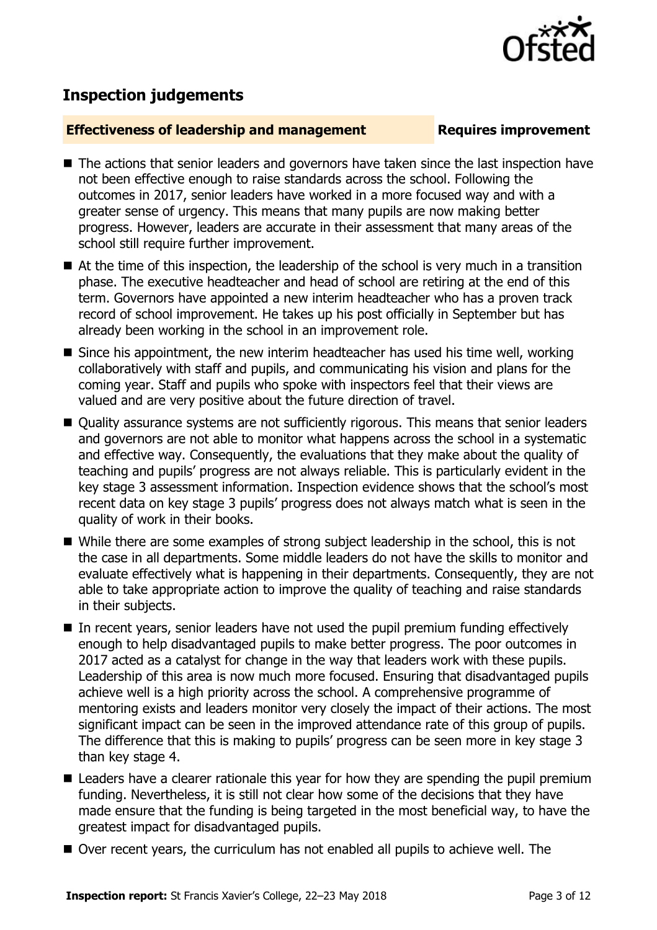

# **Inspection judgements**

### **Effectiveness of leadership and management Requires improvement**

- The actions that senior leaders and governors have taken since the last inspection have not been effective enough to raise standards across the school. Following the outcomes in 2017, senior leaders have worked in a more focused way and with a greater sense of urgency. This means that many pupils are now making better progress. However, leaders are accurate in their assessment that many areas of the school still require further improvement.
- At the time of this inspection, the leadership of the school is very much in a transition phase. The executive headteacher and head of school are retiring at the end of this term. Governors have appointed a new interim headteacher who has a proven track record of school improvement. He takes up his post officially in September but has already been working in the school in an improvement role.
- $\blacksquare$  Since his appointment, the new interim headteacher has used his time well, working collaboratively with staff and pupils, and communicating his vision and plans for the coming year. Staff and pupils who spoke with inspectors feel that their views are valued and are very positive about the future direction of travel.
- Quality assurance systems are not sufficiently rigorous. This means that senior leaders and governors are not able to monitor what happens across the school in a systematic and effective way. Consequently, the evaluations that they make about the quality of teaching and pupils' progress are not always reliable. This is particularly evident in the key stage 3 assessment information. Inspection evidence shows that the school's most recent data on key stage 3 pupils' progress does not always match what is seen in the quality of work in their books.
- While there are some examples of strong subject leadership in the school, this is not the case in all departments. Some middle leaders do not have the skills to monitor and evaluate effectively what is happening in their departments. Consequently, they are not able to take appropriate action to improve the quality of teaching and raise standards in their subjects.
- In recent years, senior leaders have not used the pupil premium funding effectively enough to help disadvantaged pupils to make better progress. The poor outcomes in 2017 acted as a catalyst for change in the way that leaders work with these pupils. Leadership of this area is now much more focused. Ensuring that disadvantaged pupils achieve well is a high priority across the school. A comprehensive programme of mentoring exists and leaders monitor very closely the impact of their actions. The most significant impact can be seen in the improved attendance rate of this group of pupils. The difference that this is making to pupils' progress can be seen more in key stage 3 than key stage 4.
- Leaders have a clearer rationale this year for how they are spending the pupil premium funding. Nevertheless, it is still not clear how some of the decisions that they have made ensure that the funding is being targeted in the most beneficial way, to have the greatest impact for disadvantaged pupils.
- Over recent years, the curriculum has not enabled all pupils to achieve well. The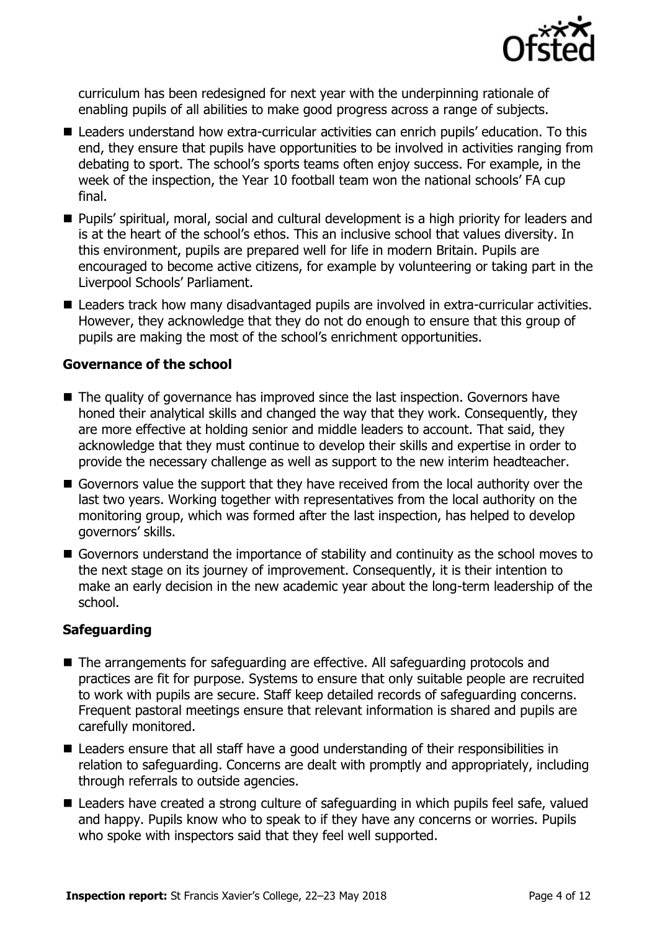

curriculum has been redesigned for next year with the underpinning rationale of enabling pupils of all abilities to make good progress across a range of subjects.

- Leaders understand how extra-curricular activities can enrich pupils' education. To this end, they ensure that pupils have opportunities to be involved in activities ranging from debating to sport. The school's sports teams often enjoy success. For example, in the week of the inspection, the Year 10 football team won the national schools' FA cup final.
- Pupils' spiritual, moral, social and cultural development is a high priority for leaders and is at the heart of the school's ethos. This an inclusive school that values diversity. In this environment, pupils are prepared well for life in modern Britain. Pupils are encouraged to become active citizens, for example by volunteering or taking part in the Liverpool Schools' Parliament.
- Leaders track how many disadvantaged pupils are involved in extra-curricular activities. However, they acknowledge that they do not do enough to ensure that this group of pupils are making the most of the school's enrichment opportunities.

### **Governance of the school**

- The quality of governance has improved since the last inspection. Governors have honed their analytical skills and changed the way that they work. Consequently, they are more effective at holding senior and middle leaders to account. That said, they acknowledge that they must continue to develop their skills and expertise in order to provide the necessary challenge as well as support to the new interim headteacher.
- Governors value the support that they have received from the local authority over the last two years. Working together with representatives from the local authority on the monitoring group, which was formed after the last inspection, has helped to develop governors' skills.
- Governors understand the importance of stability and continuity as the school moves to the next stage on its journey of improvement. Consequently, it is their intention to make an early decision in the new academic year about the long-term leadership of the school.

### **Safeguarding**

- The arrangements for safeguarding are effective. All safeguarding protocols and practices are fit for purpose. Systems to ensure that only suitable people are recruited to work with pupils are secure. Staff keep detailed records of safeguarding concerns. Frequent pastoral meetings ensure that relevant information is shared and pupils are carefully monitored.
- Leaders ensure that all staff have a good understanding of their responsibilities in relation to safeguarding. Concerns are dealt with promptly and appropriately, including through referrals to outside agencies.
- Leaders have created a strong culture of safeguarding in which pupils feel safe, valued and happy. Pupils know who to speak to if they have any concerns or worries. Pupils who spoke with inspectors said that they feel well supported.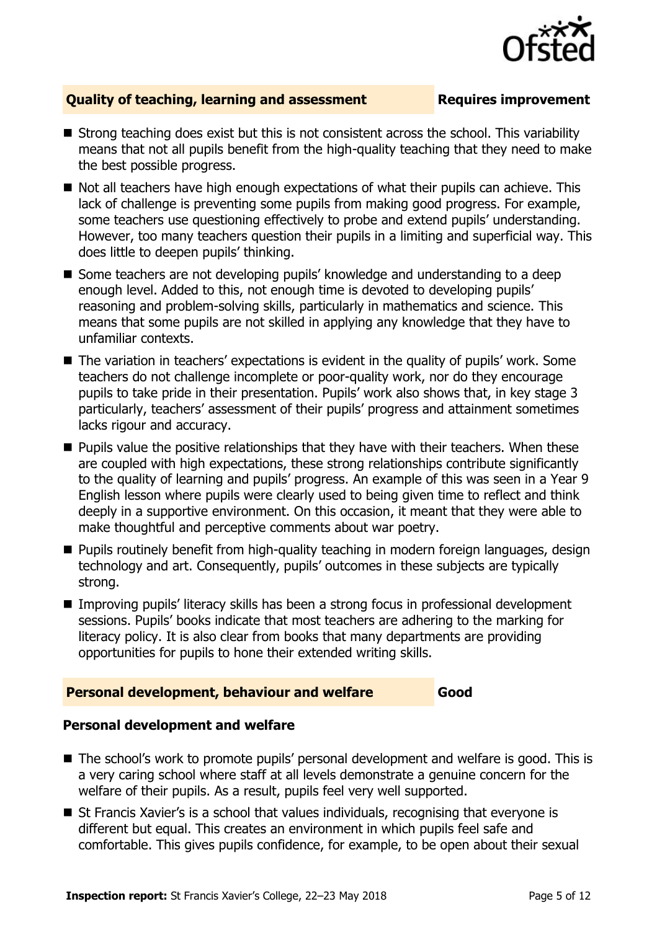

### **Quality of teaching, learning and assessment Requires improvement**

- Strong teaching does exist but this is not consistent across the school. This variability means that not all pupils benefit from the high-quality teaching that they need to make the best possible progress.
- $\blacksquare$  Not all teachers have high enough expectations of what their pupils can achieve. This lack of challenge is preventing some pupils from making good progress. For example, some teachers use questioning effectively to probe and extend pupils' understanding. However, too many teachers question their pupils in a limiting and superficial way. This does little to deepen pupils' thinking.
- Some teachers are not developing pupils' knowledge and understanding to a deep enough level. Added to this, not enough time is devoted to developing pupils' reasoning and problem-solving skills, particularly in mathematics and science. This means that some pupils are not skilled in applying any knowledge that they have to unfamiliar contexts.
- The variation in teachers' expectations is evident in the quality of pupils' work. Some teachers do not challenge incomplete or poor-quality work, nor do they encourage pupils to take pride in their presentation. Pupils' work also shows that, in key stage 3 particularly, teachers' assessment of their pupils' progress and attainment sometimes lacks rigour and accuracy.
- **Pupils value the positive relationships that they have with their teachers. When these** are coupled with high expectations, these strong relationships contribute significantly to the quality of learning and pupils' progress. An example of this was seen in a Year 9 English lesson where pupils were clearly used to being given time to reflect and think deeply in a supportive environment. On this occasion, it meant that they were able to make thoughtful and perceptive comments about war poetry.
- **Pupils routinely benefit from high-quality teaching in modern foreign languages, design** technology and art. Consequently, pupils' outcomes in these subjects are typically strong.
- Improving pupils' literacy skills has been a strong focus in professional development sessions. Pupils' books indicate that most teachers are adhering to the marking for literacy policy. It is also clear from books that many departments are providing opportunities for pupils to hone their extended writing skills.

### **Personal development, behaviour and welfare Good**

### **Personal development and welfare**

- The school's work to promote pupils' personal development and welfare is good. This is a very caring school where staff at all levels demonstrate a genuine concern for the welfare of their pupils. As a result, pupils feel very well supported.
- St Francis Xavier's is a school that values individuals, recognising that everyone is different but equal. This creates an environment in which pupils feel safe and comfortable. This gives pupils confidence, for example, to be open about their sexual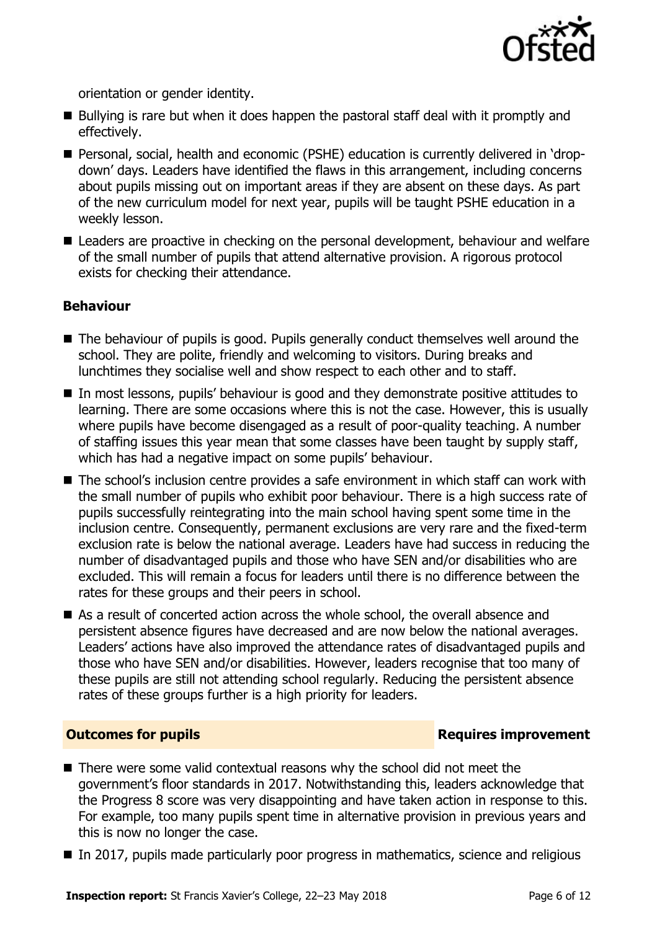

orientation or gender identity.

- Bullying is rare but when it does happen the pastoral staff deal with it promptly and effectively.
- Personal, social, health and economic (PSHE) education is currently delivered in 'dropdown' days. Leaders have identified the flaws in this arrangement, including concerns about pupils missing out on important areas if they are absent on these days. As part of the new curriculum model for next year, pupils will be taught PSHE education in a weekly lesson.
- Leaders are proactive in checking on the personal development, behaviour and welfare of the small number of pupils that attend alternative provision. A rigorous protocol exists for checking their attendance.

### **Behaviour**

- The behaviour of pupils is good. Pupils generally conduct themselves well around the school. They are polite, friendly and welcoming to visitors. During breaks and lunchtimes they socialise well and show respect to each other and to staff.
- In most lessons, pupils' behaviour is good and they demonstrate positive attitudes to learning. There are some occasions where this is not the case. However, this is usually where pupils have become disengaged as a result of poor-quality teaching. A number of staffing issues this year mean that some classes have been taught by supply staff, which has had a negative impact on some pupils' behaviour.
- The school's inclusion centre provides a safe environment in which staff can work with the small number of pupils who exhibit poor behaviour. There is a high success rate of pupils successfully reintegrating into the main school having spent some time in the inclusion centre. Consequently, permanent exclusions are very rare and the fixed-term exclusion rate is below the national average. Leaders have had success in reducing the number of disadvantaged pupils and those who have SEN and/or disabilities who are excluded. This will remain a focus for leaders until there is no difference between the rates for these groups and their peers in school.
- As a result of concerted action across the whole school, the overall absence and persistent absence figures have decreased and are now below the national averages. Leaders' actions have also improved the attendance rates of disadvantaged pupils and those who have SEN and/or disabilities. However, leaders recognise that too many of these pupils are still not attending school regularly. Reducing the persistent absence rates of these groups further is a high priority for leaders.

### **Outcomes for pupils Requires improvement**

- There were some valid contextual reasons why the school did not meet the government's floor standards in 2017. Notwithstanding this, leaders acknowledge that the Progress 8 score was very disappointing and have taken action in response to this. For example, too many pupils spent time in alternative provision in previous years and this is now no longer the case.
- In 2017, pupils made particularly poor progress in mathematics, science and religious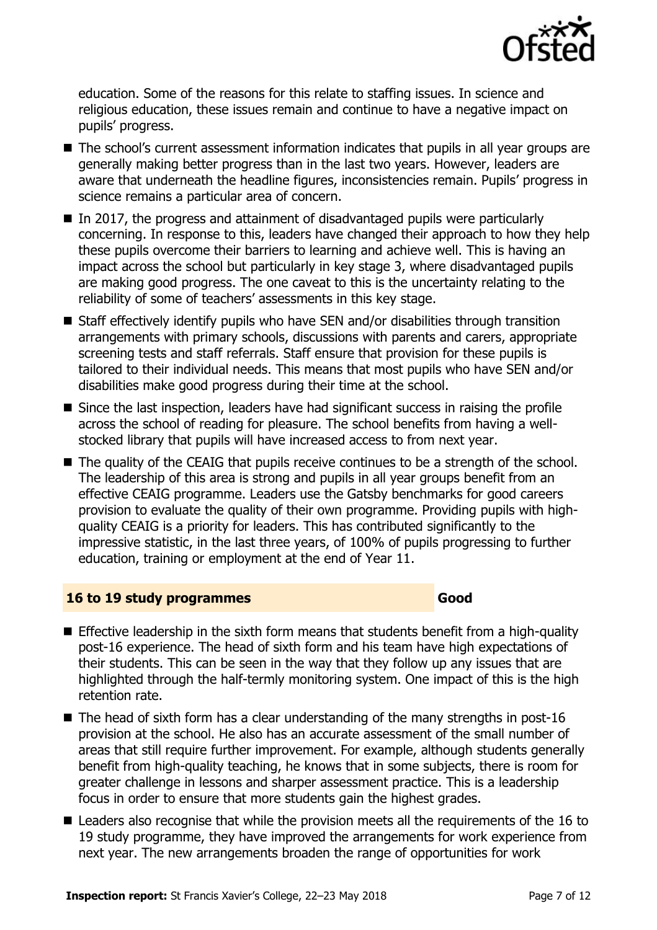

education. Some of the reasons for this relate to staffing issues. In science and religious education, these issues remain and continue to have a negative impact on pupils' progress.

- The school's current assessment information indicates that pupils in all year groups are generally making better progress than in the last two years. However, leaders are aware that underneath the headline figures, inconsistencies remain. Pupils' progress in science remains a particular area of concern.
- $\blacksquare$  In 2017, the progress and attainment of disadvantaged pupils were particularly concerning. In response to this, leaders have changed their approach to how they help these pupils overcome their barriers to learning and achieve well. This is having an impact across the school but particularly in key stage 3, where disadvantaged pupils are making good progress. The one caveat to this is the uncertainty relating to the reliability of some of teachers' assessments in this key stage.
- Staff effectively identify pupils who have SEN and/or disabilities through transition arrangements with primary schools, discussions with parents and carers, appropriate screening tests and staff referrals. Staff ensure that provision for these pupils is tailored to their individual needs. This means that most pupils who have SEN and/or disabilities make good progress during their time at the school.
- Since the last inspection, leaders have had significant success in raising the profile across the school of reading for pleasure. The school benefits from having a wellstocked library that pupils will have increased access to from next year.
- The quality of the CEAIG that pupils receive continues to be a strength of the school. The leadership of this area is strong and pupils in all year groups benefit from an effective CEAIG programme. Leaders use the Gatsby benchmarks for good careers provision to evaluate the quality of their own programme. Providing pupils with highquality CEAIG is a priority for leaders. This has contributed significantly to the impressive statistic, in the last three years, of 100% of pupils progressing to further education, training or employment at the end of Year 11.

### **16 to 19 study programmes Good**

- **Effective leadership in the sixth form means that students benefit from a high-quality** post-16 experience. The head of sixth form and his team have high expectations of their students. This can be seen in the way that they follow up any issues that are highlighted through the half-termly monitoring system. One impact of this is the high retention rate.
- $\blacksquare$  The head of sixth form has a clear understanding of the many strengths in post-16 provision at the school. He also has an accurate assessment of the small number of areas that still require further improvement. For example, although students generally benefit from high-quality teaching, he knows that in some subjects, there is room for greater challenge in lessons and sharper assessment practice. This is a leadership focus in order to ensure that more students gain the highest grades.
- Leaders also recognise that while the provision meets all the requirements of the 16 to 19 study programme, they have improved the arrangements for work experience from next year. The new arrangements broaden the range of opportunities for work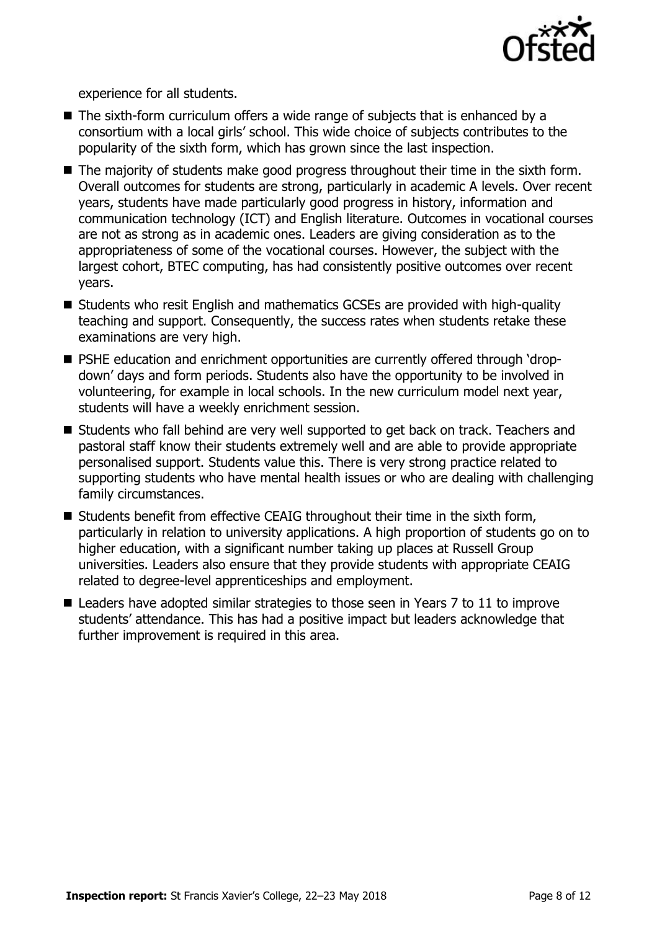

experience for all students.

- The sixth-form curriculum offers a wide range of subjects that is enhanced by a consortium with a local girls' school. This wide choice of subjects contributes to the popularity of the sixth form, which has grown since the last inspection.
- The majority of students make good progress throughout their time in the sixth form. Overall outcomes for students are strong, particularly in academic A levels. Over recent years, students have made particularly good progress in history, information and communication technology (ICT) and English literature. Outcomes in vocational courses are not as strong as in academic ones. Leaders are giving consideration as to the appropriateness of some of the vocational courses. However, the subject with the largest cohort, BTEC computing, has had consistently positive outcomes over recent years.
- Students who resit English and mathematics GCSEs are provided with high-quality teaching and support. Consequently, the success rates when students retake these examinations are very high.
- PSHE education and enrichment opportunities are currently offered through 'dropdown' days and form periods. Students also have the opportunity to be involved in volunteering, for example in local schools. In the new curriculum model next year, students will have a weekly enrichment session.
- Students who fall behind are very well supported to get back on track. Teachers and pastoral staff know their students extremely well and are able to provide appropriate personalised support. Students value this. There is very strong practice related to supporting students who have mental health issues or who are dealing with challenging family circumstances.
- $\blacksquare$  Students benefit from effective CEAIG throughout their time in the sixth form, particularly in relation to university applications. A high proportion of students go on to higher education, with a significant number taking up places at Russell Group universities. Leaders also ensure that they provide students with appropriate CEAIG related to degree-level apprenticeships and employment.
- Leaders have adopted similar strategies to those seen in Years 7 to 11 to improve students' attendance. This has had a positive impact but leaders acknowledge that further improvement is required in this area.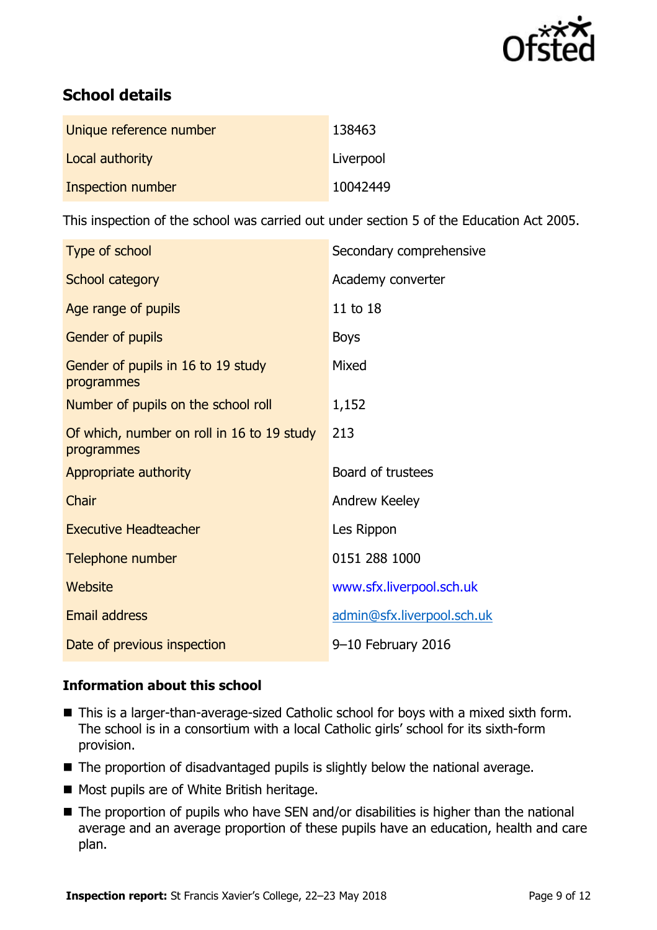

# **School details**

| Unique reference number | 138463    |
|-------------------------|-----------|
| Local authority         | Liverpool |
| Inspection number       | 10042449  |

This inspection of the school was carried out under section 5 of the Education Act 2005.

| Type of school                                           | Secondary comprehensive    |
|----------------------------------------------------------|----------------------------|
| School category                                          | Academy converter          |
| Age range of pupils                                      | 11 to 18                   |
| Gender of pupils                                         | <b>Boys</b>                |
| Gender of pupils in 16 to 19 study<br>programmes         | Mixed                      |
| Number of pupils on the school roll                      | 1,152                      |
| Of which, number on roll in 16 to 19 study<br>programmes | 213                        |
| Appropriate authority                                    | Board of trustees          |
| Chair                                                    | Andrew Keeley              |
| <b>Executive Headteacher</b>                             | Les Rippon                 |
| Telephone number                                         | 0151 288 1000              |
| Website                                                  | www.sfx.liverpool.sch.uk   |
| <b>Email address</b>                                     | admin@sfx.liverpool.sch.uk |
| Date of previous inspection                              | $9-10$ February 2016       |

### **Information about this school**

- This is a larger-than-average-sized Catholic school for boys with a mixed sixth form. The school is in a consortium with a local Catholic girls' school for its sixth-form provision.
- The proportion of disadvantaged pupils is slightly below the national average.
- Most pupils are of White British heritage.
- The proportion of pupils who have SEN and/or disabilities is higher than the national average and an average proportion of these pupils have an education, health and care plan.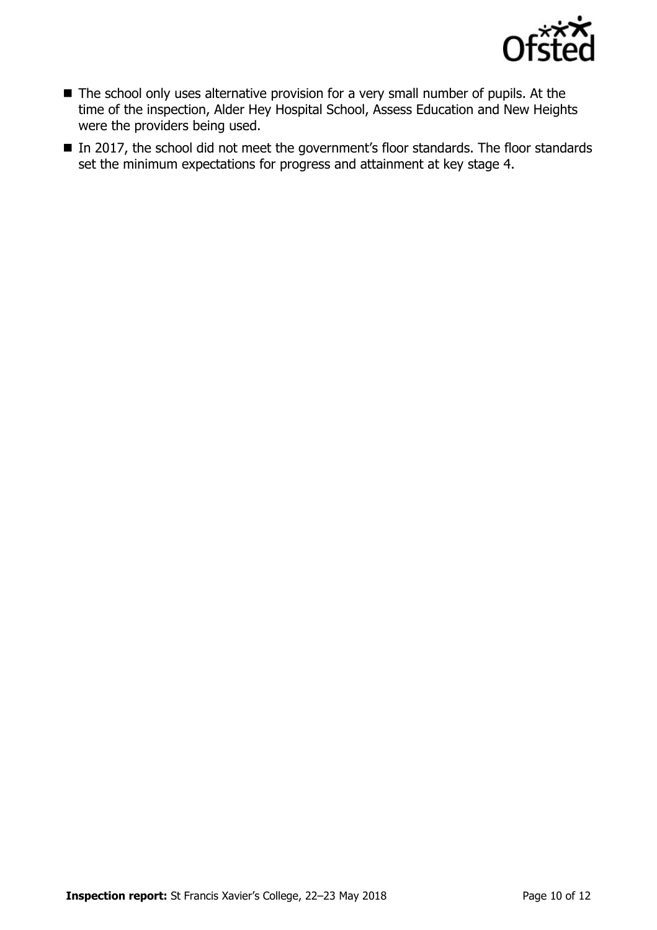

- The school only uses alternative provision for a very small number of pupils. At the time of the inspection, Alder Hey Hospital School, Assess Education and New Heights were the providers being used.
- In 2017, the school did not meet the government's floor standards. The floor standards set the minimum expectations for progress and attainment at key stage 4.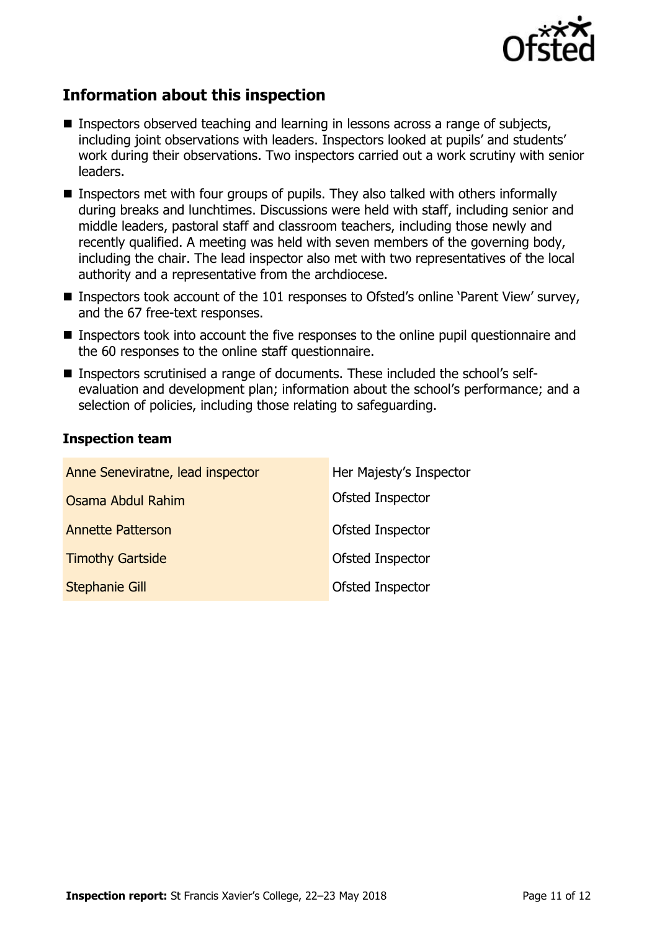

# **Information about this inspection**

- **Inspectors observed teaching and learning in lessons across a range of subjects,** including joint observations with leaders. Inspectors looked at pupils' and students' work during their observations. Two inspectors carried out a work scrutiny with senior leaders.
- **Inspectors met with four groups of pupils. They also talked with others informally** during breaks and lunchtimes. Discussions were held with staff, including senior and middle leaders, pastoral staff and classroom teachers, including those newly and recently qualified. A meeting was held with seven members of the governing body, including the chair. The lead inspector also met with two representatives of the local authority and a representative from the archdiocese.
- Inspectors took account of the 101 responses to Ofsted's online 'Parent View' survey, and the 67 free-text responses.
- **Inspectors took into account the five responses to the online pupil questionnaire and** the 60 responses to the online staff questionnaire.
- Inspectors scrutinised a range of documents. These included the school's selfevaluation and development plan; information about the school's performance; and a selection of policies, including those relating to safeguarding.

### **Inspection team**

| Anne Seneviratne, lead inspector | Her Majesty's Inspector |
|----------------------------------|-------------------------|
| Osama Abdul Rahim                | Ofsted Inspector        |
| <b>Annette Patterson</b>         | Ofsted Inspector        |
| <b>Timothy Gartside</b>          | Ofsted Inspector        |
| <b>Stephanie Gill</b>            | Ofsted Inspector        |